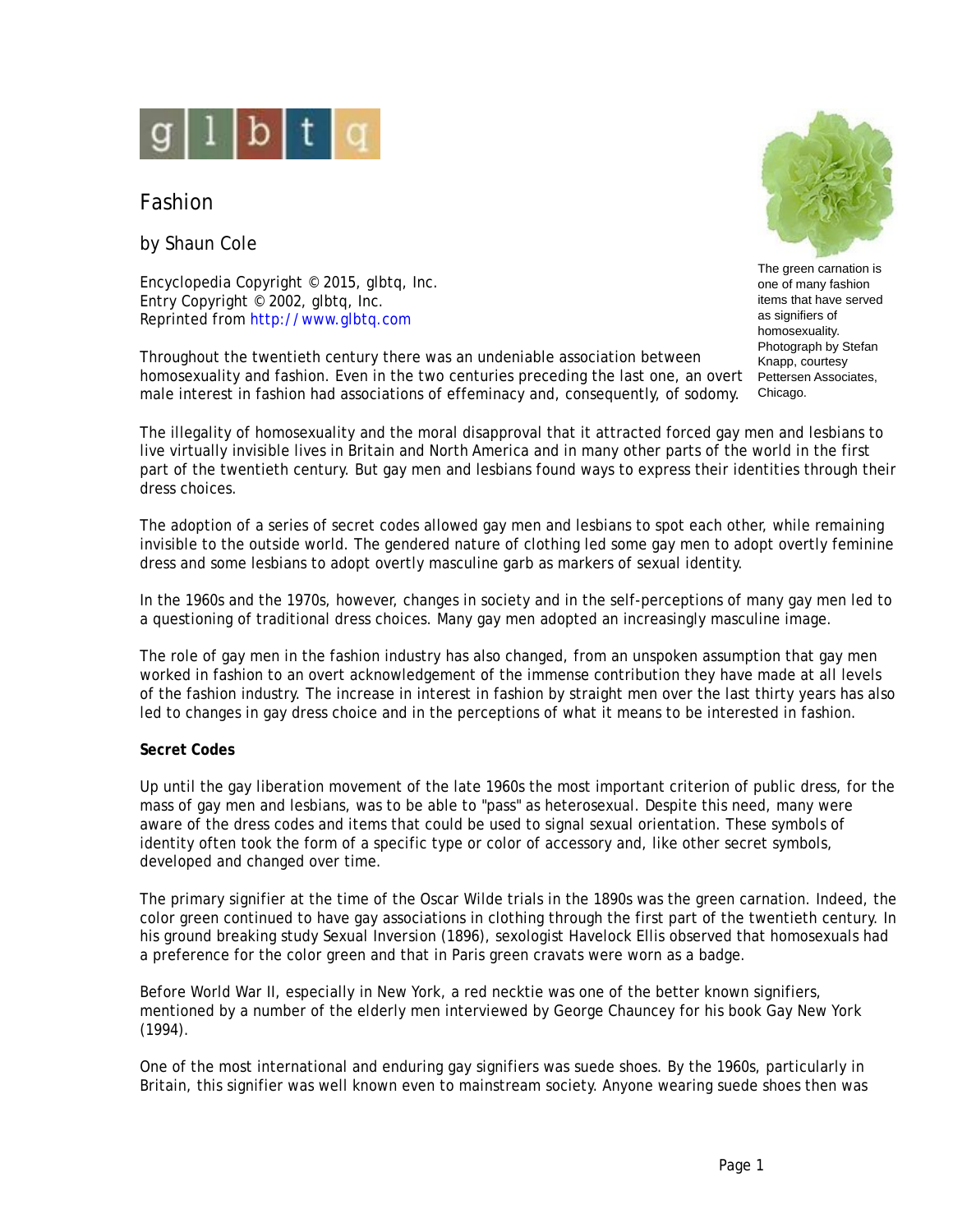

# Fashion

by Shaun Cole

Encyclopedia Copyright © 2015, glbtq, Inc. Entry Copyright © 2002, glbtq, Inc. Reprinted from<http://www.glbtq.com>

Throughout the twentieth century there was an undeniable association between homosexuality and fashion. Even in the two centuries preceding the last one, an overt male interest in fashion had associations of effeminacy and, consequently, of sodomy.



The green carnation is one of many fashion items that have served as signifiers of homosexuality. Photograph by Stefan Knapp, courtesy Pettersen Associates, Chicago.

The illegality of homosexuality and the moral disapproval that it attracted forced gay men and lesbians to live virtually invisible lives in Britain and North America and in many other parts of the world in the first part of the twentieth century. But gay men and lesbians found ways to express their identities through their dress choices.

The adoption of a series of secret codes allowed gay men and lesbians to spot each other, while remaining invisible to the outside world. The gendered nature of clothing led some gay men to adopt overtly feminine dress and some lesbians to adopt overtly masculine garb as markers of sexual identity.

In the 1960s and the 1970s, however, changes in society and in the self-perceptions of many gay men led to a questioning of traditional dress choices. Many gay men adopted an increasingly masculine image.

The role of gay men in the fashion industry has also changed, from an unspoken assumption that gay men worked in fashion to an overt acknowledgement of the immense contribution they have made at all levels of the fashion industry. The increase in interest in fashion by straight men over the last thirty years has also led to changes in gay dress choice and in the perceptions of what it means to be interested in fashion.

# **Secret Codes**

Up until the gay liberation movement of the late 1960s the most important criterion of public dress, for the mass of gay men and lesbians, was to be able to "pass" as heterosexual. Despite this need, many were aware of the dress codes and items that could be used to signal sexual orientation. These symbols of identity often took the form of a specific type or color of accessory and, like other secret symbols, developed and changed over time.

The primary signifier at the time of the Oscar Wilde trials in the 1890s was the green carnation. Indeed, the color green continued to have gay associations in clothing through the first part of the twentieth century. In his ground breaking study *Sexual Inversion* (1896), sexologist Havelock Ellis observed that homosexuals had a preference for the color green and that in Paris green cravats were worn as a badge.

Before World War II, especially in New York, a red necktie was one of the better known signifiers, mentioned by a number of the elderly men interviewed by George Chauncey for his book *Gay New York* (1994).

One of the most international and enduring gay signifiers was suede shoes. By the 1960s, particularly in Britain, this signifier was well known even to mainstream society. Anyone wearing suede shoes then was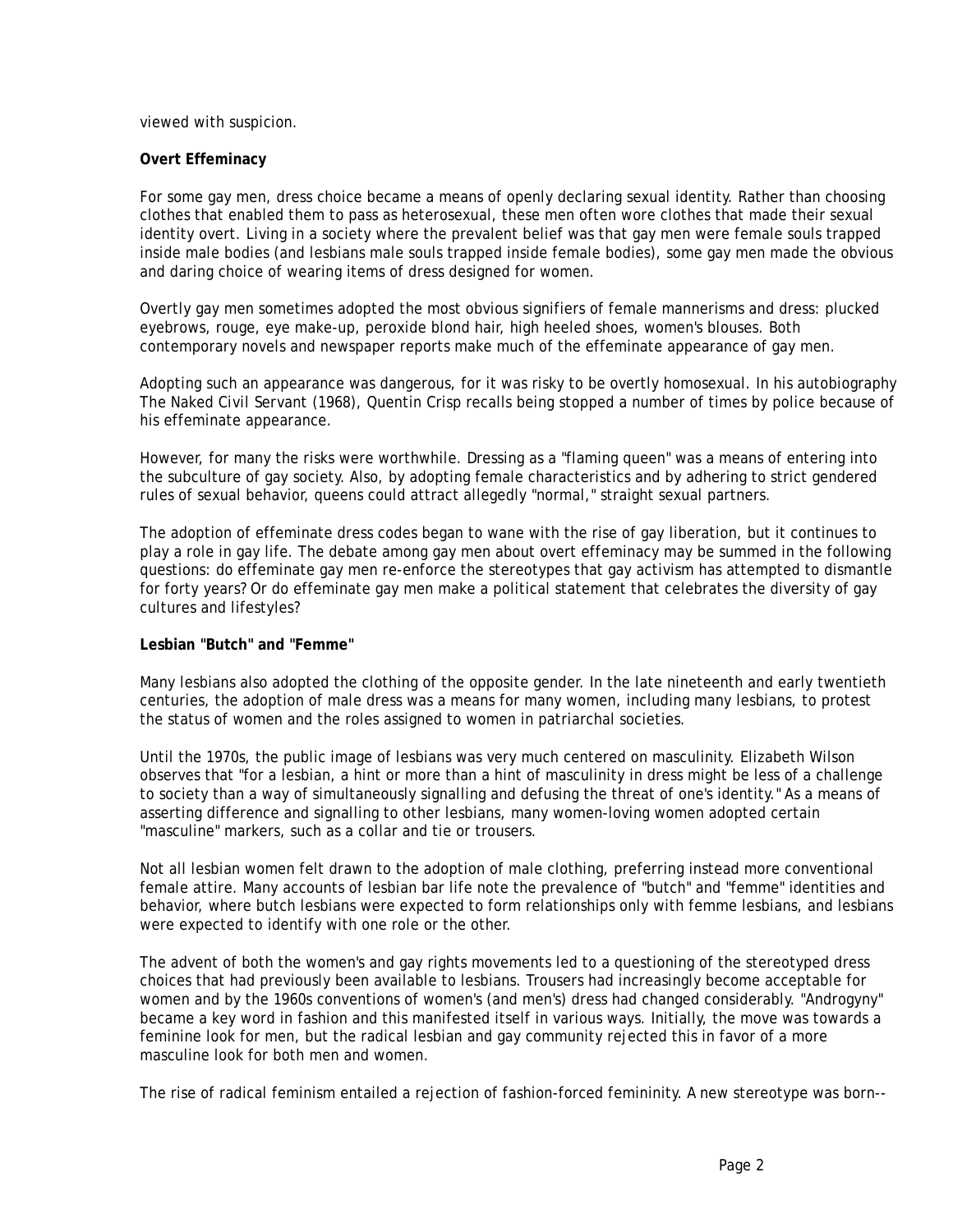viewed with suspicion.

## **Overt Effeminacy**

For some gay men, dress choice became a means of openly declaring sexual identity. Rather than choosing clothes that enabled them to pass as heterosexual, these men often wore clothes that made their sexual identity overt. Living in a society where the prevalent belief was that gay men were female souls trapped inside male bodies (and lesbians male souls trapped inside female bodies), some gay men made the obvious and daring choice of wearing items of dress designed for women.

Overtly gay men sometimes adopted the most obvious signifiers of female mannerisms and dress: plucked eyebrows, rouge, eye make-up, peroxide blond hair, high heeled shoes, women's blouses. Both contemporary novels and newspaper reports make much of the effeminate appearance of gay men.

Adopting such an appearance was dangerous, for it was risky to be overtly homosexual. In his autobiography *The Naked Civil Servant* (1968), Quentin Crisp recalls being stopped a number of times by police because of his effeminate appearance.

However, for many the risks were worthwhile. Dressing as a "flaming queen" was a means of entering into the subculture of gay society. Also, by adopting female characteristics and by adhering to strict gendered rules of sexual behavior, queens could attract allegedly "normal," straight sexual partners.

The adoption of effeminate dress codes began to wane with the rise of gay liberation, but it continues to play a role in gay life. The debate among gay men about overt effeminacy may be summed in the following questions: do effeminate gay men re-enforce the stereotypes that gay activism has attempted to dismantle for forty years? Or do effeminate gay men make a political statement that celebrates the diversity of gay cultures and lifestyles?

### **Lesbian "Butch" and "Femme"**

Many lesbians also adopted the clothing of the opposite gender. In the late nineteenth and early twentieth centuries, the adoption of male dress was a means for many women, including many lesbians, to protest the status of women and the roles assigned to women in patriarchal societies.

Until the 1970s, the public image of lesbians was very much centered on masculinity. Elizabeth Wilson observes that "for a lesbian, a hint or more than a hint of masculinity in dress might be less of a challenge to society than a way of simultaneously signalling and defusing the threat of one's identity." As a means of asserting difference and signalling to other lesbians, many women-loving women adopted certain "masculine" markers, such as a collar and tie or trousers.

Not all lesbian women felt drawn to the adoption of male clothing, preferring instead more conventional female attire. Many accounts of lesbian bar life note the prevalence of "butch" and "femme" identities and behavior, where butch lesbians were expected to form relationships only with femme lesbians, and lesbians were expected to identify with one role or the other.

The advent of both the women's and gay rights movements led to a questioning of the stereotyped dress choices that had previously been available to lesbians. Trousers had increasingly become acceptable for women and by the 1960s conventions of women's (and men's) dress had changed considerably. "Androgyny" became a key word in fashion and this manifested itself in various ways. Initially, the move was towards a feminine look for men, but the radical lesbian and gay community rejected this in favor of a more masculine look for both men and women.

The rise of radical feminism entailed a rejection of fashion-forced femininity. A new stereotype was born--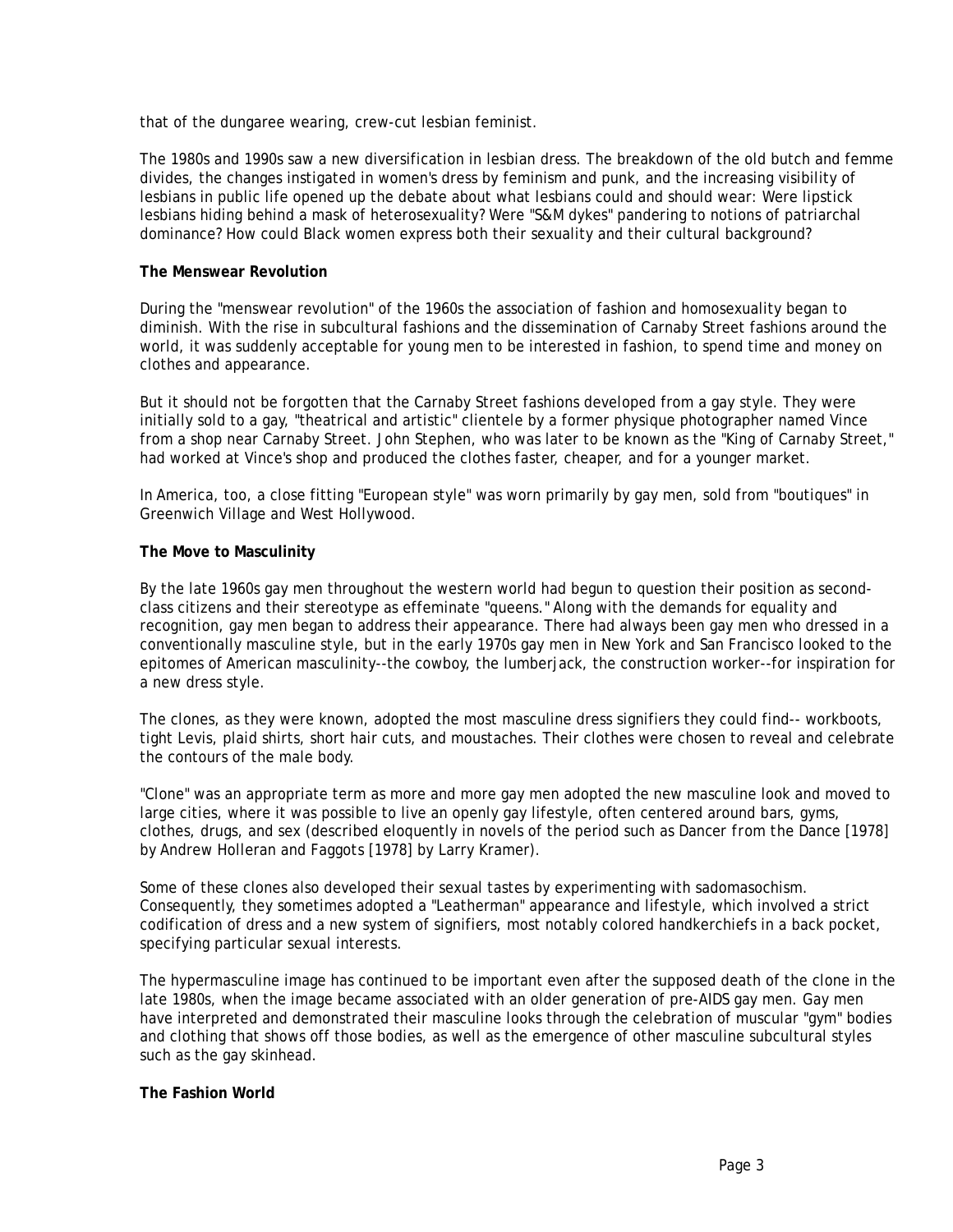that of the dungaree wearing, crew-cut lesbian feminist.

The 1980s and 1990s saw a new diversification in lesbian dress. The breakdown of the old butch and femme divides, the changes instigated in women's dress by feminism and punk, and the increasing visibility of lesbians in public life opened up the debate about what lesbians could and should wear: Were lipstick lesbians hiding behind a mask of heterosexuality? Were "S&M dykes" pandering to notions of patriarchal dominance? How could Black women express both their sexuality and their cultural background?

## **The Menswear Revolution**

During the "menswear revolution" of the 1960s the association of fashion and homosexuality began to diminish. With the rise in subcultural fashions and the dissemination of Carnaby Street fashions around the world, it was suddenly acceptable for young men to be interested in fashion, to spend time and money on clothes and appearance.

But it should not be forgotten that the Carnaby Street fashions developed from a gay style. They were initially sold to a gay, "theatrical and artistic" clientele by a former physique photographer named Vince from a shop near Carnaby Street. John Stephen, who was later to be known as the "King of Carnaby Street," had worked at Vince's shop and produced the clothes faster, cheaper, and for a younger market.

In America, too, a close fitting "European style" was worn primarily by gay men, sold from "boutiques" in Greenwich Village and West Hollywood.

## **The Move to Masculinity**

By the late 1960s gay men throughout the western world had begun to question their position as secondclass citizens and their stereotype as effeminate "queens." Along with the demands for equality and recognition, gay men began to address their appearance. There had always been gay men who dressed in a conventionally masculine style, but in the early 1970s gay men in New York and San Francisco looked to the epitomes of American masculinity--the cowboy, the lumberjack, the construction worker--for inspiration for a new dress style.

The clones, as they were known, adopted the most masculine dress signifiers they could find-- workboots, tight Levis, plaid shirts, short hair cuts, and moustaches. Their clothes were chosen to reveal and celebrate the contours of the male body.

"Clone" was an appropriate term as more and more gay men adopted the new masculine look and moved to large cities, where it was possible to live an openly gay lifestyle, often centered around bars, gyms, clothes, drugs, and sex (described eloquently in novels of the period such as *Dancer from the Dance* [1978] by Andrew Holleran and *Faggots* [1978] by Larry Kramer).

Some of these clones also developed their sexual tastes by experimenting with sadomasochism. Consequently, they sometimes adopted a "Leatherman" appearance and lifestyle, which involved a strict codification of dress and a new system of signifiers, most notably colored handkerchiefs in a back pocket, specifying particular sexual interests.

The hypermasculine image has continued to be important even after the supposed death of the clone in the late 1980s, when the image became associated with an older generation of pre-AIDS gay men. Gay men have interpreted and demonstrated their masculine looks through the celebration of muscular "gym" bodies and clothing that shows off those bodies, as well as the emergence of other masculine subcultural styles such as the gay skinhead.

# **The Fashion World**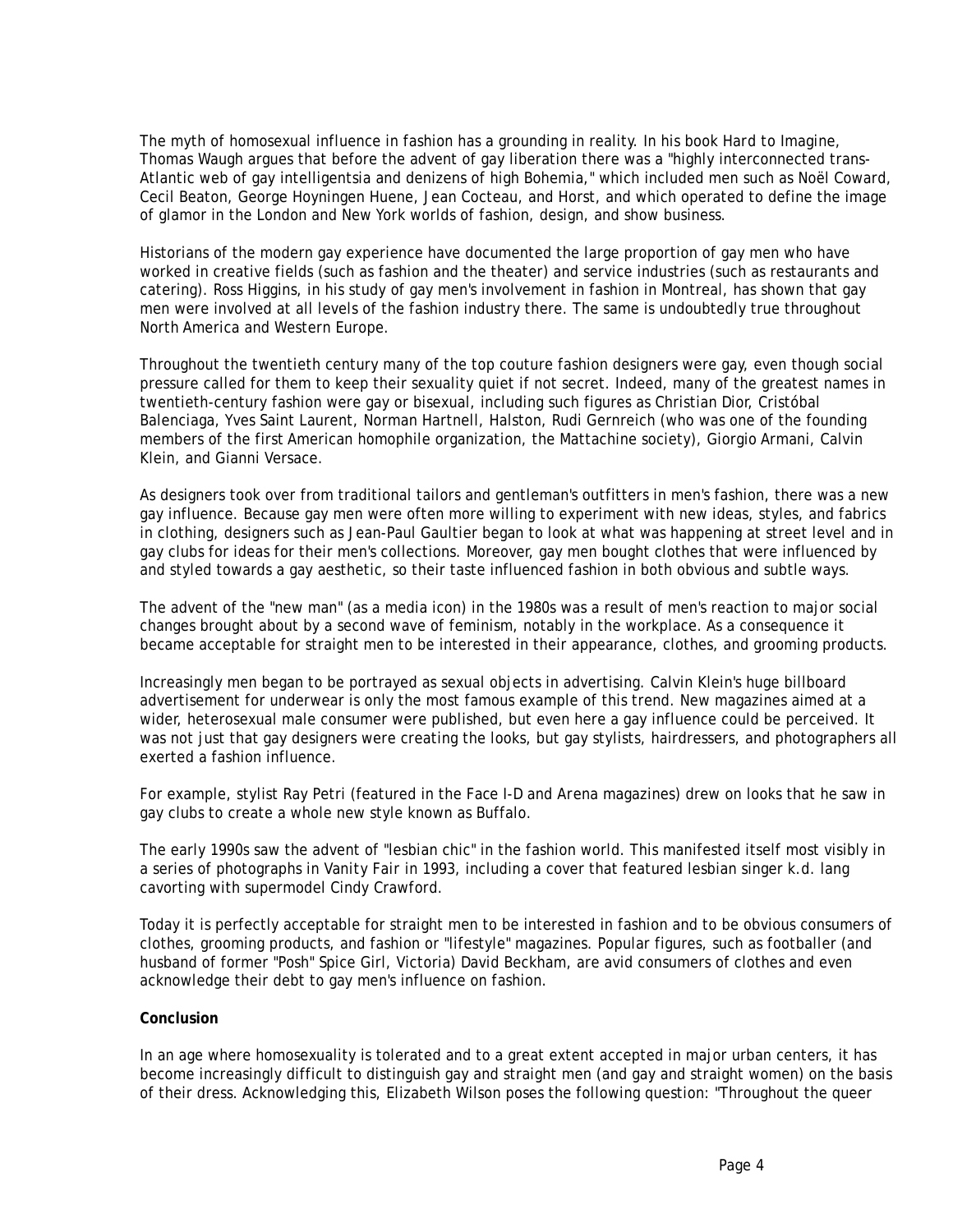The myth of homosexual influence in fashion has a grounding in reality. In his book *Hard to Imagine*, Thomas Waugh argues that before the advent of gay liberation there was a "highly interconnected trans-Atlantic web of gay intelligentsia and denizens of high Bohemia," which included men such as Noël Coward, Cecil Beaton, George Hoyningen Huene, Jean Cocteau, and Horst, and which operated to define the image of glamor in the London and New York worlds of fashion, design, and show business.

Historians of the modern gay experience have documented the large proportion of gay men who have worked in creative fields (such as fashion and the theater) and service industries (such as restaurants and catering). Ross Higgins, in his study of gay men's involvement in fashion in Montreal, has shown that gay men were involved at all levels of the fashion industry there. The same is undoubtedly true throughout North America and Western Europe.

Throughout the twentieth century many of the top couture fashion designers were gay, even though social pressure called for them to keep their sexuality quiet if not secret. Indeed, many of the greatest names in twentieth-century fashion were gay or bisexual, including such figures as Christian Dior, Cristóbal Balenciaga, Yves Saint Laurent, Norman Hartnell, Halston, Rudi Gernreich (who was one of the founding members of the first American homophile organization, the Mattachine society), Giorgio Armani, Calvin Klein, and Gianni Versace.

As designers took over from traditional tailors and gentleman's outfitters in men's fashion, there was a new gay influence. Because gay men were often more willing to experiment with new ideas, styles, and fabrics in clothing, designers such as Jean-Paul Gaultier began to look at what was happening at street level and in gay clubs for ideas for their men's collections. Moreover, gay men bought clothes that were influenced by and styled towards a gay aesthetic, so their taste influenced fashion in both obvious and subtle ways.

The advent of the "new man" (as a media icon) in the 1980s was a result of men's reaction to major social changes brought about by a second wave of feminism, notably in the workplace. As a consequence it became acceptable for straight men to be interested in their appearance, clothes, and grooming products.

Increasingly men began to be portrayed as sexual objects in advertising. Calvin Klein's huge billboard advertisement for underwear is only the most famous example of this trend. New magazines aimed at a wider, heterosexual male consumer were published, but even here a gay influence could be perceived. It was not just that gay designers were creating the looks, but gay stylists, hairdressers, and photographers all exerted a fashion influence.

For example, stylist Ray Petri (featured in the *Face I-D* and *Arena* magazines) drew on looks that he saw in gay clubs to create a whole new style known as Buffalo.

The early 1990s saw the advent of "lesbian chic" in the fashion world. This manifested itself most visibly in a series of photographs in *Vanity Fair* in 1993, including a cover that featured lesbian singer k.d. lang cavorting with supermodel Cindy Crawford.

Today it is perfectly acceptable for straight men to be interested in fashion and to be obvious consumers of clothes, grooming products, and fashion or "lifestyle" magazines. Popular figures, such as footballer (and husband of former "Posh" Spice Girl, Victoria) David Beckham, are avid consumers of clothes and even acknowledge their debt to gay men's influence on fashion.

# **Conclusion**

In an age where homosexuality is tolerated and to a great extent accepted in major urban centers, it has become increasingly difficult to distinguish gay and straight men (and gay and straight women) on the basis of their dress. Acknowledging this, Elizabeth Wilson poses the following question: "Throughout the queer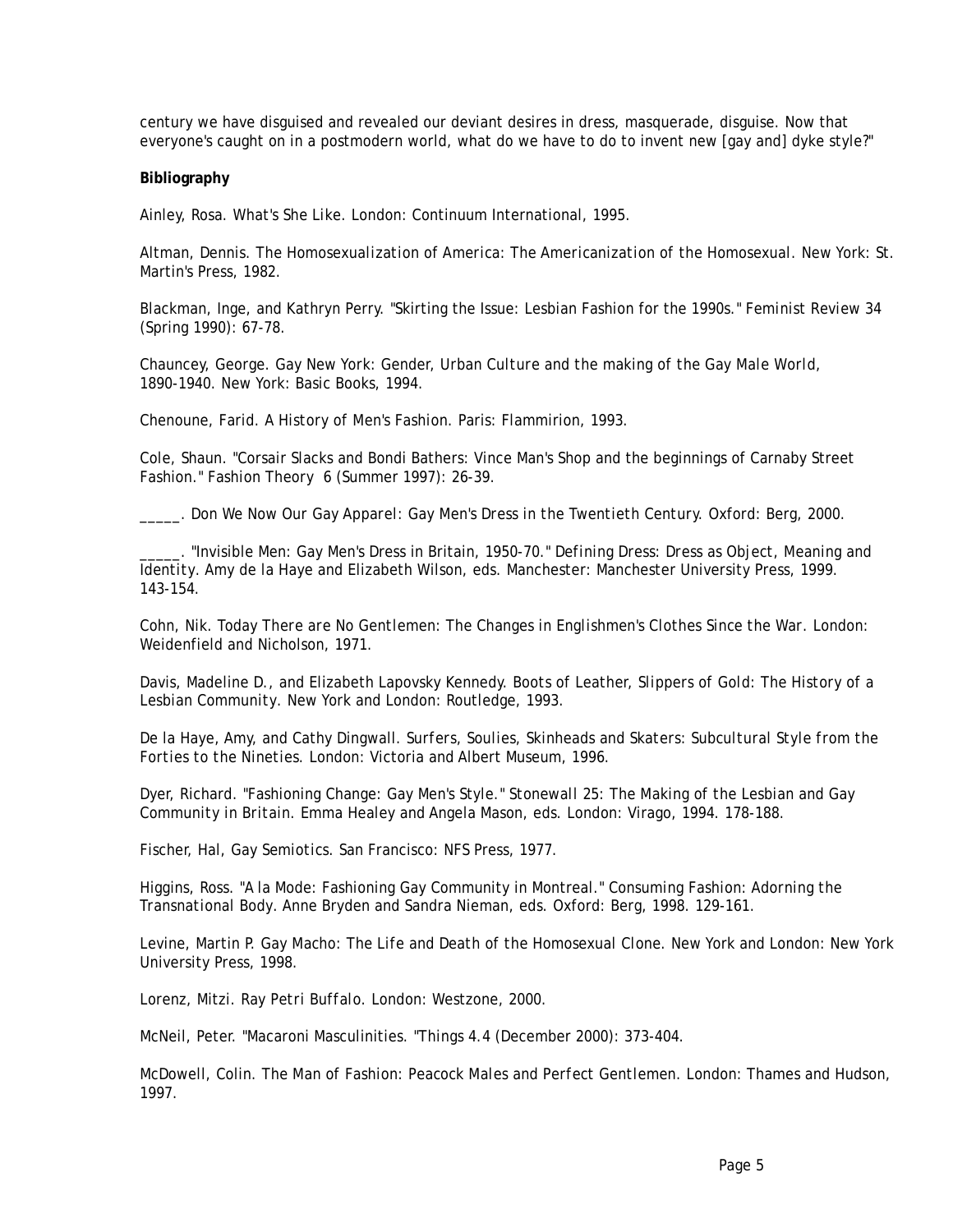century we have disguised and revealed our deviant desires in dress, masquerade, disguise. Now that everyone's caught on in a postmodern world, what do we have to do to invent new [gay and] dyke style?"

### **Bibliography**

Ainley, Rosa. *What's She Like*. London: Continuum International, 1995.

Altman, Dennis. *The Homosexualization of America: The Americanization of the Homosexual*. New York: St. Martin's Press, 1982.

Blackman, Inge, and Kathryn Perry. "Skirting the Issue: Lesbian Fashion for the 1990s." *Feminist Review* 34 (Spring 1990): 67-78.

Chauncey, George. *Gay New York: Gender, Urban Culture and the making of the Gay Male World, 1890-1940*. New York: Basic Books, 1994.

Chenoune, Farid. *A History of Men's Fashion*. Paris: Flammirion, 1993.

Cole, Shaun. "Corsair Slacks and Bondi Bathers: Vince Man's Shop and the beginnings of Carnaby Street Fashion." *Fashion Theory* 6 (Summer 1997): 26-39.

\_\_\_\_\_. *Don We Now Our Gay Apparel: Gay Men's Dress in the Twentieth Century.* Oxford: Berg, 2000.

\_\_\_\_\_. "Invisible Men: Gay Men's Dress in Britain, 1950-70." *Defining Dress: Dress as Object, Meaning and Identity*. Amy de la Haye and Elizabeth Wilson, eds. Manchester: Manchester University Press, 1999. 143-154.

Cohn, Nik. *Today There are No Gentlemen: The Changes in Englishmen's Clothes Since the War*. London: Weidenfield and Nicholson, 1971.

Davis, Madeline D., and Elizabeth Lapovsky Kennedy. *Boots of Leather, Slippers of Gold: The History of a Lesbian Community*. New York and London: Routledge, 1993.

De la Haye, Amy, and Cathy Dingwall. *Surfers, Soulies, Skinheads and Skaters: Subcultural Style from the Forties to the Nineties.* London: Victoria and Albert Museum, 1996.

Dyer, Richard. "Fashioning Change: Gay Men's Style." *Stonewall 25: The Making of the Lesbian and Gay Community in Britain*. Emma Healey and Angela Mason, eds. London: Virago, 1994. 178-188.

Fischer, Hal, *Gay Semiotics*. San Francisco: NFS Press, 1977.

Higgins, Ross. "A la Mode: Fashioning Gay Community in Montreal." *Consuming Fashion: Adorning the Transnational Body*. Anne Bryden and Sandra Nieman, eds. Oxford: Berg, 1998. 129-161.

Levine, Martin P. *Gay Macho: The Life and Death of the Homosexual Clone*. New York and London: New York University Press, 1998.

Lorenz, Mitzi. *Ray Petri Buffalo*. London: Westzone, 2000.

McNeil, Peter. "Macaroni Masculinities. "*Things* 4.4 (December 2000): 373-404.

McDowell, Colin. *The Man of Fashion: Peacock Males and Perfect Gentlemen*. London: Thames and Hudson, 1997.